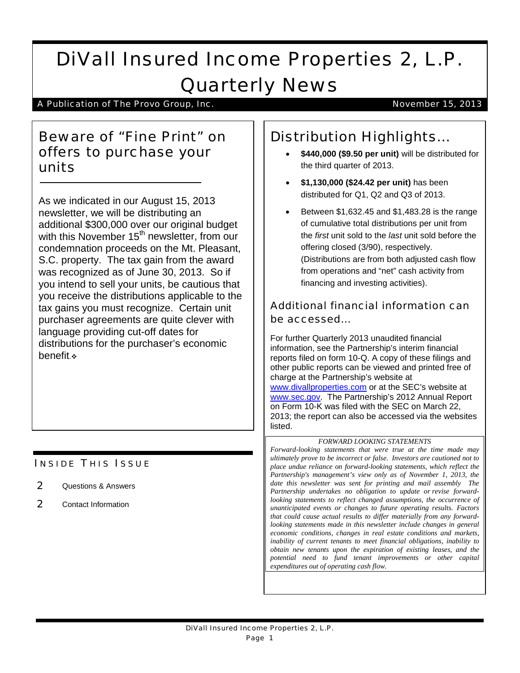# DiVall Insured Income Properties 2, L.P. Quarterly News

A Publication of The Provo Group, Inc. November 15, 2013

### Beware of "Fine Print" on offers to purchase your units

As we indicated in our August 15, 2013 newsletter, we will be distributing an additional \$300,000 over our original budget with this November 15<sup>th</sup> newsletter, from our condemnation proceeds on the Mt. Pleasant, S.C. property. The tax gain from the award was recognized as of June 30, 2013. So if you intend to sell your units, be cautious that you receive the distributions applicable to the tax gains you must recognize. Certain unit purchaser agreements are quite clever with language providing cut-off dates for distributions for the purchaser's economic benefit »

### **INSIDE THIS ISSUE**

- 2 Questions & Answers
- 2 Contact Information

## Distribution Highlights…

- **\$440,000 (\$9.50 per unit)** will be distributed for the third quarter of 2013.
- **\$1,130,000 (\$24.42 per unit)** has been distributed for Q1, Q2 and Q3 of 2013.
- Between \$1,632.45 and \$1,483.28 is the range of cumulative total distributions per unit from the *first* unit sold to the *last* unit sold before the offering closed (3/90), respectively. (Distributions are from both adjusted cash flow from operations and "net" cash activity from financing and investing activities).

### Additional financial information can be accessed…

For further Quarterly 2013 unaudited financial information, see the Partnership's interim financial reports filed on form 10-Q. A copy of these filings and other public reports can be viewed and printed free of charge at the Partnership's website at [www.divallproperties.com](http://www.divallproperties.com/) or at the SEC's website at [www.sec.gov.](http://www.sec.gov/) The Partnership's 2012 Annual Report on Form 10-K was filed with the SEC on March 22, 2013; the report can also be accessed via the websites listed.

#### *FORWARD LOOKING STATEMENTS*

*Forward-looking statements that were true at the time made may ultimately prove to be incorrect or false. Investors are cautioned not to place undue reliance on forward-looking statements, which reflect the Partnership's management's view only as of November 1, 2013, the date this newsletter was sent for printing and mail assembly The Partnership undertakes no obligation to update or revise forwardlooking statements to reflect changed assumptions, the occurrence of unanticipated events or changes to future operating results. Factors that could cause actual results to differ materially from any forwardlooking statements made in this newsletter include changes in general economic conditions, changes in real estate conditions and markets, inability of current tenants to meet financial obligations, inability to obtain new tenants upon the expiration of existing leases, and the potential need to fund tenant improvements or other capital expenditures out of operating cash flow.*